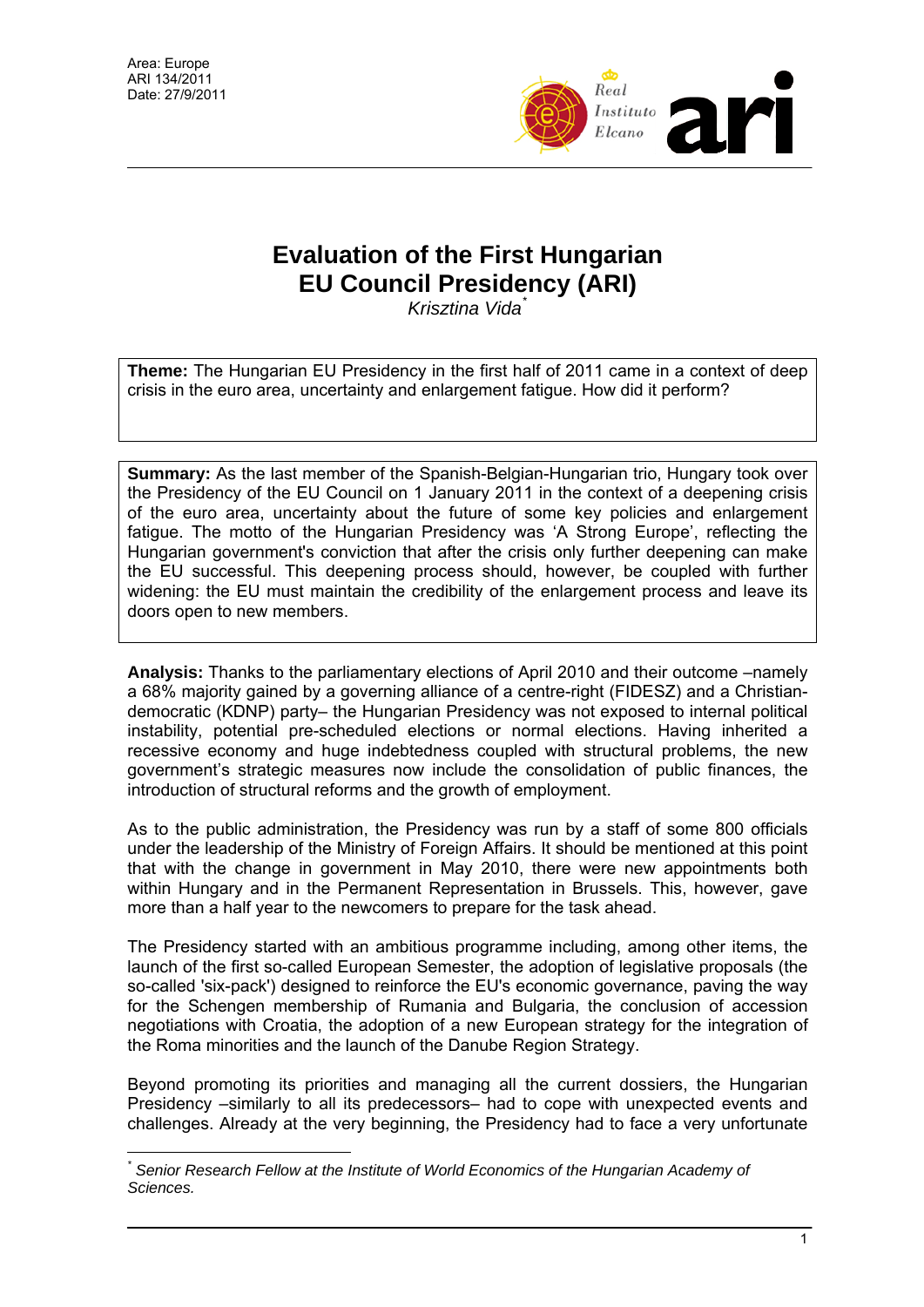$\overline{a}$ 



## **Evaluation of the First Hungarian EU Council Presidency (ARI)**

*Krisztina Vida*[\\*](#page-0-0)

**Theme:** The Hungarian EU Presidency in the first half of 2011 came in a context of deep crisis in the euro area, uncertainty and enlargement fatigue. How did it perform?

**Summary:** As the last member of the Spanish-Belgian-Hungarian trio, Hungary took over the Presidency of the EU Council on 1 January 2011 in the context of a deepening crisis of the euro area, uncertainty about the future of some key policies and enlargement fatigue. The motto of the Hungarian Presidency was 'A Strong Europe', reflecting the Hungarian government's conviction that after the crisis only further deepening can make the EU successful. This deepening process should, however, be coupled with further widening: the EU must maintain the credibility of the enlargement process and leave its doors open to new members.

**Analysis:** Thanks to the parliamentary elections of April 2010 and their outcome –namely a 68% majority gained by a governing alliance of a centre-right (FIDESZ) and a Christiandemocratic (KDNP) party– the Hungarian Presidency was not exposed to internal political instability, potential pre-scheduled elections or normal elections. Having inherited a recessive economy and huge indebtedness coupled with structural problems, the new government's strategic measures now include the consolidation of public finances, the introduction of structural reforms and the growth of employment.

As to the public administration, the Presidency was run by a staff of some 800 officials under the leadership of the Ministry of Foreign Affairs. It should be mentioned at this point that with the change in government in May 2010, there were new appointments both within Hungary and in the Permanent Representation in Brussels. This, however, gave more than a half year to the newcomers to prepare for the task ahead.

The Presidency started with an ambitious programme including, among other items, the launch of the first so-called European Semester, the adoption of legislative proposals (the so-called 'six-pack') designed to reinforce the EU's economic governance, paving the way for the Schengen membership of Rumania and Bulgaria, the conclusion of accession negotiations with Croatia, the adoption of a new European strategy for the integration of the Roma minorities and the launch of the Danube Region Strategy.

Beyond promoting its priorities and managing all the current dossiers, the Hungarian Presidency –similarly to all its predecessors– had to cope with unexpected events and challenges. Already at the very beginning, the Presidency had to face a very unfortunate

<span id="page-0-0"></span>*<sup>\*</sup> Senior Research Fellow at the Institute of World Economics of the Hungarian Academy of Sciences.*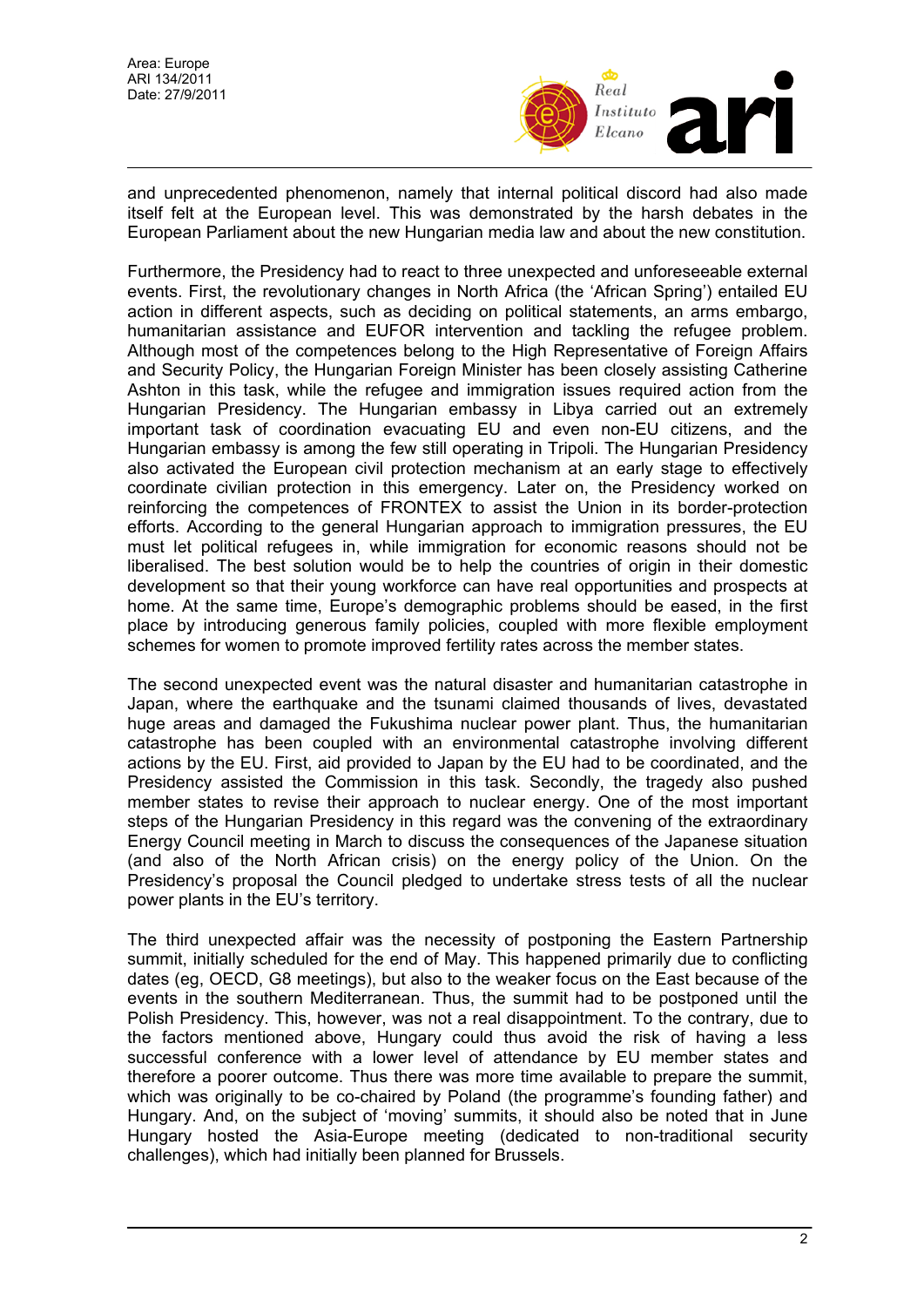

and unprecedented phenomenon, namely that internal political discord had also made itself felt at the European level. This was demonstrated by the harsh debates in the European Parliament about the new Hungarian media law and about the new constitution.

Furthermore, the Presidency had to react to three unexpected and unforeseeable external events. First, the revolutionary changes in North Africa (the 'African Spring') entailed EU action in different aspects, such as deciding on political statements, an arms embargo, humanitarian assistance and EUFOR intervention and tackling the refugee problem. Although most of the competences belong to the High Representative of Foreign Affairs and Security Policy, the Hungarian Foreign Minister has been closely assisting Catherine Ashton in this task, while the refugee and immigration issues required action from the Hungarian Presidency. The Hungarian embassy in Libya carried out an extremely important task of coordination evacuating EU and even non-EU citizens, and the Hungarian embassy is among the few still operating in Tripoli. The Hungarian Presidency also activated the European civil protection mechanism at an early stage to effectively coordinate civilian protection in this emergency. Later on, the Presidency worked on reinforcing the competences of FRONTEX to assist the Union in its border-protection efforts. According to the general Hungarian approach to immigration pressures, the EU must let political refugees in, while immigration for economic reasons should not be liberalised. The best solution would be to help the countries of origin in their domestic development so that their young workforce can have real opportunities and prospects at home. At the same time, Europe's demographic problems should be eased, in the first place by introducing generous family policies, coupled with more flexible employment schemes for women to promote improved fertility rates across the member states.

The second unexpected event was the natural disaster and humanitarian catastrophe in Japan, where the earthquake and the tsunami claimed thousands of lives, devastated huge areas and damaged the Fukushima nuclear power plant. Thus, the humanitarian catastrophe has been coupled with an environmental catastrophe involving different actions by the EU. First, aid provided to Japan by the EU had to be coordinated, and the Presidency assisted the Commission in this task. Secondly, the tragedy also pushed member states to revise their approach to nuclear energy. One of the most important steps of the Hungarian Presidency in this regard was the convening of the extraordinary Energy Council meeting in March to discuss the consequences of the Japanese situation (and also of the North African crisis) on the energy policy of the Union. On the Presidency's proposal the Council pledged to undertake stress tests of all the nuclear power plants in the EU's territory.

The third unexpected affair was the necessity of postponing the Eastern Partnership summit, initially scheduled for the end of May. This happened primarily due to conflicting dates (eg, OECD, G8 meetings), but also to the weaker focus on the East because of the events in the southern Mediterranean. Thus, the summit had to be postponed until the Polish Presidency. This, however, was not a real disappointment. To the contrary, due to the factors mentioned above, Hungary could thus avoid the risk of having a less successful conference with a lower level of attendance by EU member states and therefore a poorer outcome. Thus there was more time available to prepare the summit, which was originally to be co-chaired by Poland (the programme's founding father) and Hungary. And, on the subject of 'moving' summits, it should also be noted that in June Hungary hosted the Asia-Europe meeting (dedicated to non-traditional security challenges), which had initially been planned for Brussels.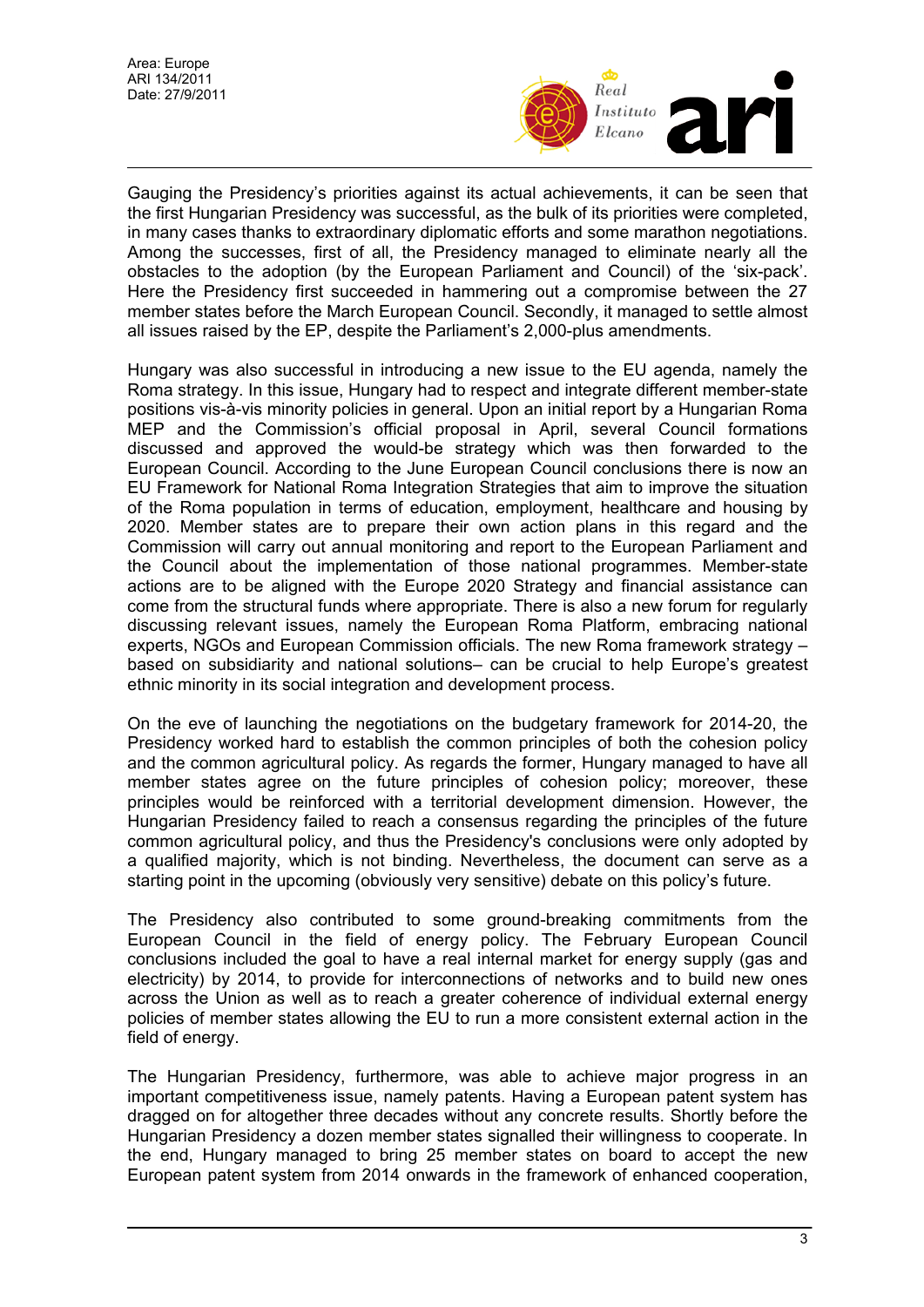

Gauging the Presidency's priorities against its actual achievements, it can be seen that the first Hungarian Presidency was successful, as the bulk of its priorities were completed, in many cases thanks to extraordinary diplomatic efforts and some marathon negotiations. Among the successes, first of all, the Presidency managed to eliminate nearly all the obstacles to the adoption (by the European Parliament and Council) of the 'six-pack'. Here the Presidency first succeeded in hammering out a compromise between the 27 member states before the March European Council. Secondly, it managed to settle almost all issues raised by the EP, despite the Parliament's 2,000-plus amendments.

Hungary was also successful in introducing a new issue to the EU agenda, namely the Roma strategy. In this issue, Hungary had to respect and integrate different member-state positions vis-à-vis minority policies in general. Upon an initial report by a Hungarian Roma MEP and the Commission's official proposal in April, several Council formations discussed and approved the would-be strategy which was then forwarded to the European Council. According to the June European Council conclusions there is now an EU Framework for National Roma Integration Strategies that aim to improve the situation of the Roma population in terms of education, employment, healthcare and housing by 2020. Member states are to prepare their own action plans in this regard and the Commission will carry out annual monitoring and report to the European Parliament and the Council about the implementation of those national programmes. Member-state actions are to be aligned with the Europe 2020 Strategy and financial assistance can come from the structural funds where appropriate. There is also a new forum for regularly discussing relevant issues, namely the European Roma Platform, embracing national experts, NGOs and European Commission officials. The new Roma framework strategy – based on subsidiarity and national solutions– can be crucial to help Europe's greatest ethnic minority in its social integration and development process.

On the eve of launching the negotiations on the budgetary framework for 2014-20, the Presidency worked hard to establish the common principles of both the cohesion policy and the common agricultural policy. As regards the former, Hungary managed to have all member states agree on the future principles of cohesion policy; moreover, these principles would be reinforced with a territorial development dimension. However, the Hungarian Presidency failed to reach a consensus regarding the principles of the future common agricultural policy, and thus the Presidency's conclusions were only adopted by a qualified majority, which is not binding. Nevertheless, the document can serve as a starting point in the upcoming (obviously very sensitive) debate on this policy's future.

The Presidency also contributed to some ground-breaking commitments from the European Council in the field of energy policy. The February European Council conclusions included the goal to have a real internal market for energy supply (gas and electricity) by 2014, to provide for interconnections of networks and to build new ones across the Union as well as to reach a greater coherence of individual external energy policies of member states allowing the EU to run a more consistent external action in the field of energy.

The Hungarian Presidency, furthermore, was able to achieve major progress in an important competitiveness issue, namely patents. Having a European patent system has dragged on for altogether three decades without any concrete results. Shortly before the Hungarian Presidency a dozen member states signalled their willingness to cooperate. In the end, Hungary managed to bring 25 member states on board to accept the new European patent system from 2014 onwards in the framework of enhanced cooperation,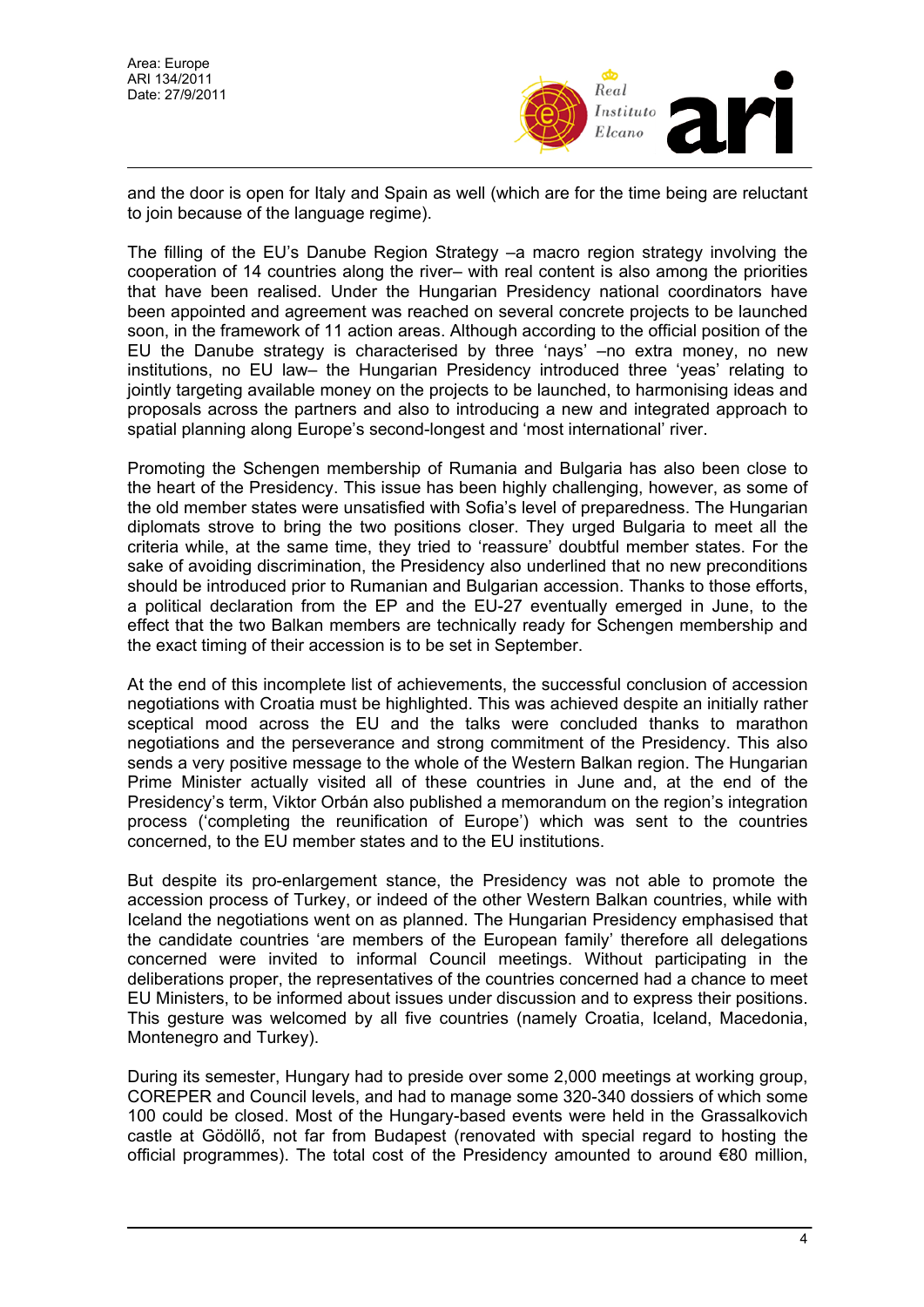

and the door is open for Italy and Spain as well (which are for the time being are reluctant to join because of the language regime).

The filling of the EU's Danube Region Strategy –a macro region strategy involving the cooperation of 14 countries along the river– with real content is also among the priorities that have been realised. Under the Hungarian Presidency national coordinators have been appointed and agreement was reached on several concrete projects to be launched soon, in the framework of 11 action areas. Although according to the official position of the EU the Danube strategy is characterised by three 'nays' –no extra money, no new institutions, no EU law– the Hungarian Presidency introduced three 'yeas' relating to jointly targeting available money on the projects to be launched, to harmonising ideas and proposals across the partners and also to introducing a new and integrated approach to spatial planning along Europe's second-longest and 'most international' river.

Promoting the Schengen membership of Rumania and Bulgaria has also been close to the heart of the Presidency. This issue has been highly challenging, however, as some of the old member states were unsatisfied with Sofia's level of preparedness. The Hungarian diplomats strove to bring the two positions closer. They urged Bulgaria to meet all the criteria while, at the same time, they tried to 'reassure' doubtful member states. For the sake of avoiding discrimination, the Presidency also underlined that no new preconditions should be introduced prior to Rumanian and Bulgarian accession. Thanks to those efforts, a political declaration from the EP and the EU-27 eventually emerged in June, to the effect that the two Balkan members are technically ready for Schengen membership and the exact timing of their accession is to be set in September.

At the end of this incomplete list of achievements, the successful conclusion of accession negotiations with Croatia must be highlighted. This was achieved despite an initially rather sceptical mood across the EU and the talks were concluded thanks to marathon negotiations and the perseverance and strong commitment of the Presidency. This also sends a very positive message to the whole of the Western Balkan region. The Hungarian Prime Minister actually visited all of these countries in June and, at the end of the Presidency's term, Viktor Orbán also published a memorandum on the region's integration process ('completing the reunification of Europe') which was sent to the countries concerned, to the EU member states and to the EU institutions.

But despite its pro-enlargement stance, the Presidency was not able to promote the accession process of Turkey, or indeed of the other Western Balkan countries, while with Iceland the negotiations went on as planned. The Hungarian Presidency emphasised that the candidate countries 'are members of the European family' therefore all delegations concerned were invited to informal Council meetings. Without participating in the deliberations proper, the representatives of the countries concerned had a chance to meet EU Ministers, to be informed about issues under discussion and to express their positions. This gesture was welcomed by all five countries (namely Croatia, Iceland, Macedonia, Montenegro and Turkey).

During its semester, Hungary had to preside over some 2,000 meetings at working group, COREPER and Council levels, and had to manage some 320-340 dossiers of which some 100 could be closed. Most of the Hungary-based events were held in the Grassalkovich castle at Gödöllő, not far from Budapest (renovated with special regard to hosting the official programmes). The total cost of the Presidency amounted to around €80 million,